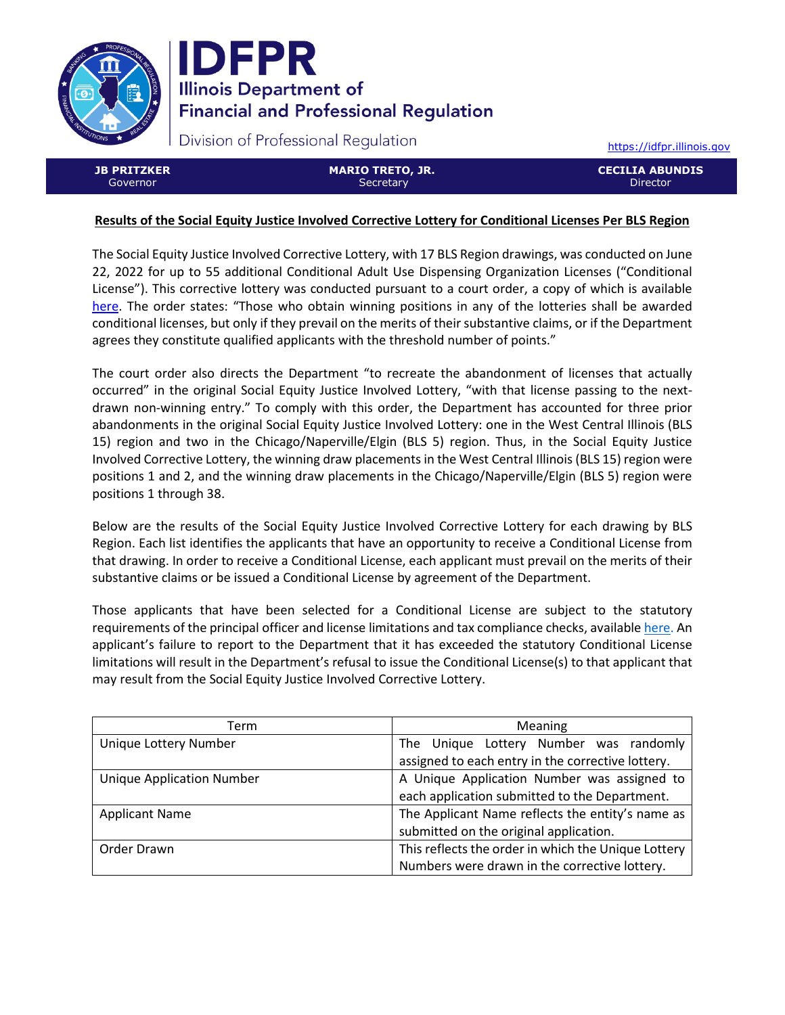



Division of Professional Regulation

[https://idfpr.illinois.gov](https://idfpr.illinois.gov/)

**JB PRITZKER** Governor

**MARIO TRETO, JR. Secretary** 

**CECILIA ABUNDIS Director** 

## **Results of the Social Equity Justice Involved Corrective Lottery for Conditional Licenses Per BLS Region**

The Social Equity Justice Involved Corrective Lottery, with 17 BLS Region drawings, was conducted on June 22, 2022 for up to 55 additional Conditional Adult Use Dispensing Organization Licenses ("Conditional License"). This corrective lottery was conducted pursuant to a court order, a copy of which is available [here.](https://idfpr.illinois.gov/Forms/AUC/2022%2005%2019%20Cannabis%20order.pdf) The order states: "Those who obtain winning positions in any of the lotteries shall be awarded conditional licenses, but only if they prevail on the merits of their substantive claims, or if the Department agrees they constitute qualified applicants with the threshold number of points."

The court order also directs the Department "to recreate the abandonment of licenses that actually occurred" in the original Social Equity Justice Involved Lottery, "with that license passing to the nextdrawn non-winning entry." To comply with this order, the Department has accounted for three prior abandonments in the original Social Equity Justice Involved Lottery: one in the West Central Illinois (BLS 15) region and two in the Chicago/Naperville/Elgin (BLS 5) region. Thus, in the Social Equity Justice Involved Corrective Lottery, the winning draw placements in the West Central Illinois (BLS 15) region were positions 1 and 2, and the winning draw placements in the Chicago/Naperville/Elgin (BLS 5) region were positions 1 through 38.

Below are the results of the Social Equity Justice Involved Corrective Lottery for each drawing by BLS Region. Each list identifies the applicants that have an opportunity to receive a Conditional License from that drawing. In order to receive a Conditional License, each applicant must prevail on the merits of their substantive claims or be issued a Conditional License by agreement of the Department.

Those applicants that have been selected for a Conditional License are subject to the statutory requirements of the principal officer and license limitations and tax compliance checks, availabl[e here.](https://www.idfpr.com/Forms/AUC/FAQs%20for%20QAL%20SEJIL%20and%20TAL.pdf) An applicant's failure to report to the Department that it has exceeded the statutory Conditional License limitations will result in the Department's refusal to issue the Conditional License(s) to that applicant that may result from the Social Equity Justice Involved Corrective Lottery.

| Term                             | <b>Meaning</b>                                      |  |
|----------------------------------|-----------------------------------------------------|--|
| Unique Lottery Number            | The Unique Lottery Number was randomly              |  |
|                                  | assigned to each entry in the corrective lottery.   |  |
| <b>Unique Application Number</b> | A Unique Application Number was assigned to         |  |
|                                  | each application submitted to the Department.       |  |
| <b>Applicant Name</b>            | The Applicant Name reflects the entity's name as    |  |
|                                  | submitted on the original application.              |  |
| Order Drawn                      | This reflects the order in which the Unique Lottery |  |
|                                  | Numbers were drawn in the corrective lottery.       |  |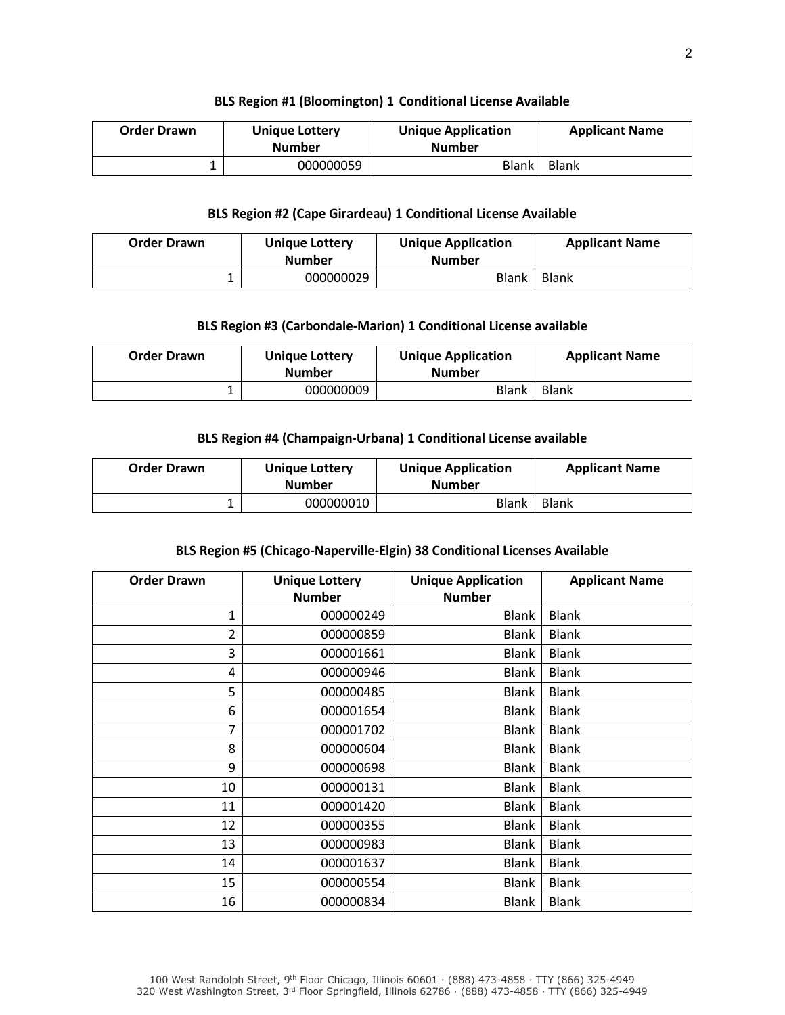#### **BLS Region #1 (Bloomington) 1 Conditional License Available**

| <b>Order Drawn</b> | <b>Unique Lottery</b><br><b>Number</b> | <b>Unique Application</b><br><b>Number</b> | <b>Applicant Name</b> |
|--------------------|----------------------------------------|--------------------------------------------|-----------------------|
|                    | 000000059                              | <b>Blank</b>                               | Blank                 |

## **BLS Region #2 (Cape Girardeau) 1 Conditional License Available**

| <b>Order Drawn</b> | <b>Unique Lottery</b><br><b>Number</b> | <b>Unique Application</b><br><b>Number</b> | <b>Applicant Name</b> |
|--------------------|----------------------------------------|--------------------------------------------|-----------------------|
|                    | 000000029                              | <b>Blank</b>                               | <b>Blank</b>          |

## **BLS Region #3 (Carbondale-Marion) 1 Conditional License available**

| <b>Order Drawn</b> | <b>Unique Lottery</b><br><b>Number</b> | <b>Unique Application</b><br><b>Number</b> | <b>Applicant Name</b> |
|--------------------|----------------------------------------|--------------------------------------------|-----------------------|
|                    | 000000009                              | Blank                                      | <b>Blank</b>          |

## **BLS Region #4 (Champaign-Urbana) 1 Conditional License available**

| <b>Order Drawn</b> | <b>Unique Lottery</b><br><b>Number</b> | <b>Unique Application</b><br><b>Number</b> | <b>Applicant Name</b> |
|--------------------|----------------------------------------|--------------------------------------------|-----------------------|
|                    | 000000010                              | Blank                                      | Blank                 |

## **BLS Region #5 (Chicago-Naperville-Elgin) 38 Conditional Licenses Available**

| <b>Order Drawn</b> | <b>Unique Lottery</b><br><b>Number</b> | <b>Unique Application</b><br><b>Number</b> | <b>Applicant Name</b> |
|--------------------|----------------------------------------|--------------------------------------------|-----------------------|
| 1                  | 000000249                              | <b>Blank</b>                               | <b>Blank</b>          |
| 2                  | 000000859                              | Blank                                      | <b>Blank</b>          |
| 3                  | 000001661                              | <b>Blank</b>                               | <b>Blank</b>          |
| 4                  | 000000946                              | <b>Blank</b>                               | <b>Blank</b>          |
| 5                  | 000000485                              | <b>Blank</b>                               | <b>Blank</b>          |
| 6                  | 000001654                              | <b>Blank</b>                               | <b>Blank</b>          |
| 7                  | 000001702                              | <b>Blank</b>                               | <b>Blank</b>          |
| 8                  | 000000604                              | <b>Blank</b>                               | <b>Blank</b>          |
| 9                  | 000000698                              | <b>Blank</b>                               | <b>Blank</b>          |
| 10                 | 000000131                              | <b>Blank</b>                               | <b>Blank</b>          |
| 11                 | 000001420                              | <b>Blank</b>                               | <b>Blank</b>          |
| 12                 | 000000355                              | <b>Blank</b>                               | <b>Blank</b>          |
| 13                 | 000000983                              | <b>Blank</b>                               | <b>Blank</b>          |
| 14                 | 000001637                              | <b>Blank</b>                               | <b>Blank</b>          |
| 15                 | 000000554                              | <b>Blank</b>                               | <b>Blank</b>          |
| 16                 | 000000834                              | <b>Blank</b>                               | <b>Blank</b>          |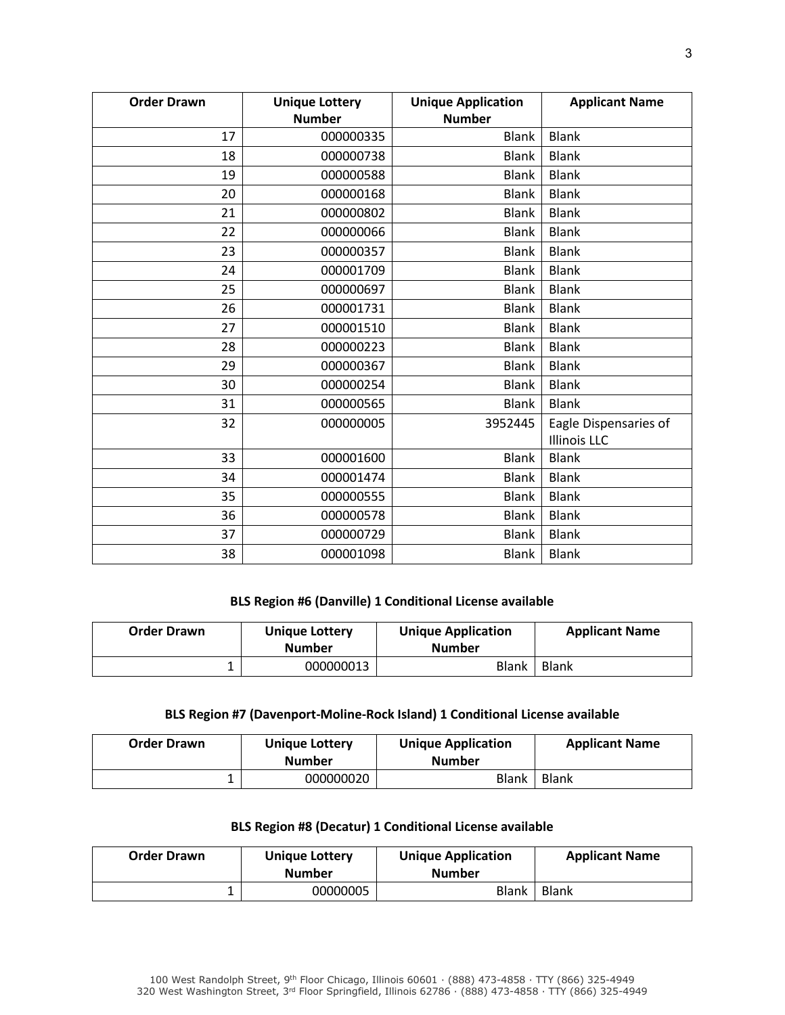| <b>Order Drawn</b> | <b>Unique Lottery</b> | <b>Unique Application</b> | <b>Applicant Name</b> |
|--------------------|-----------------------|---------------------------|-----------------------|
|                    | <b>Number</b>         | <b>Number</b>             |                       |
| 17                 | 000000335             | <b>Blank</b>              | <b>Blank</b>          |
| 18                 | 000000738             | <b>Blank</b>              | <b>Blank</b>          |
| 19                 | 000000588             | <b>Blank</b>              | <b>Blank</b>          |
| 20                 | 000000168             | <b>Blank</b>              | <b>Blank</b>          |
| 21                 | 000000802             | <b>Blank</b>              | <b>Blank</b>          |
| 22                 | 000000066             | <b>Blank</b>              | <b>Blank</b>          |
| 23                 | 000000357             | <b>Blank</b>              | <b>Blank</b>          |
| 24                 | 000001709             | <b>Blank</b>              | <b>Blank</b>          |
| 25                 | 000000697             | <b>Blank</b>              | <b>Blank</b>          |
| 26                 | 000001731             | <b>Blank</b>              | <b>Blank</b>          |
| 27                 | 000001510             | <b>Blank</b>              | <b>Blank</b>          |
| 28                 | 000000223             | <b>Blank</b>              | <b>Blank</b>          |
| 29                 | 000000367             | <b>Blank</b>              | <b>Blank</b>          |
| 30                 | 000000254             | <b>Blank</b>              | <b>Blank</b>          |
| 31                 | 000000565             | <b>Blank</b>              | <b>Blank</b>          |
| 32                 | 000000005             | 3952445                   | Eagle Dispensaries of |
|                    |                       |                           | <b>Illinois LLC</b>   |
| 33                 | 000001600             | <b>Blank</b>              | <b>Blank</b>          |
| 34                 | 000001474             | <b>Blank</b>              | <b>Blank</b>          |
| 35                 | 000000555             | <b>Blank</b>              | <b>Blank</b>          |
| 36                 | 000000578             | <b>Blank</b>              | <b>Blank</b>          |
| 37                 | 000000729             | <b>Blank</b>              | <b>Blank</b>          |
| 38                 | 000001098             | <b>Blank</b>              | <b>Blank</b>          |

# **BLS Region #6 (Danville) 1 Conditional License available**

| <b>Order Drawn</b> | <b>Unique Lottery</b><br><b>Number</b> | <b>Unique Application</b><br><b>Number</b> | <b>Applicant Name</b> |
|--------------------|----------------------------------------|--------------------------------------------|-----------------------|
|                    | 000000013                              | <b>Blank</b>                               | <b>Blank</b>          |

## **BLS Region #7 (Davenport-Moline-Rock Island) 1 Conditional License available**

| <b>Order Drawn</b> | <b>Unique Lottery</b><br><b>Number</b> | <b>Unique Application</b><br><b>Number</b> | <b>Applicant Name</b> |
|--------------------|----------------------------------------|--------------------------------------------|-----------------------|
|                    | 000000020                              | <b>Blank</b>                               | Blank                 |

## **BLS Region #8 (Decatur) 1 Conditional License available**

| <b>Order Drawn</b> | <b>Unique Lottery</b><br><b>Number</b> | <b>Unique Application</b><br><b>Number</b> | <b>Applicant Name</b> |
|--------------------|----------------------------------------|--------------------------------------------|-----------------------|
|                    | 00000005                               | <b>Blank</b>                               | <b>Blank</b>          |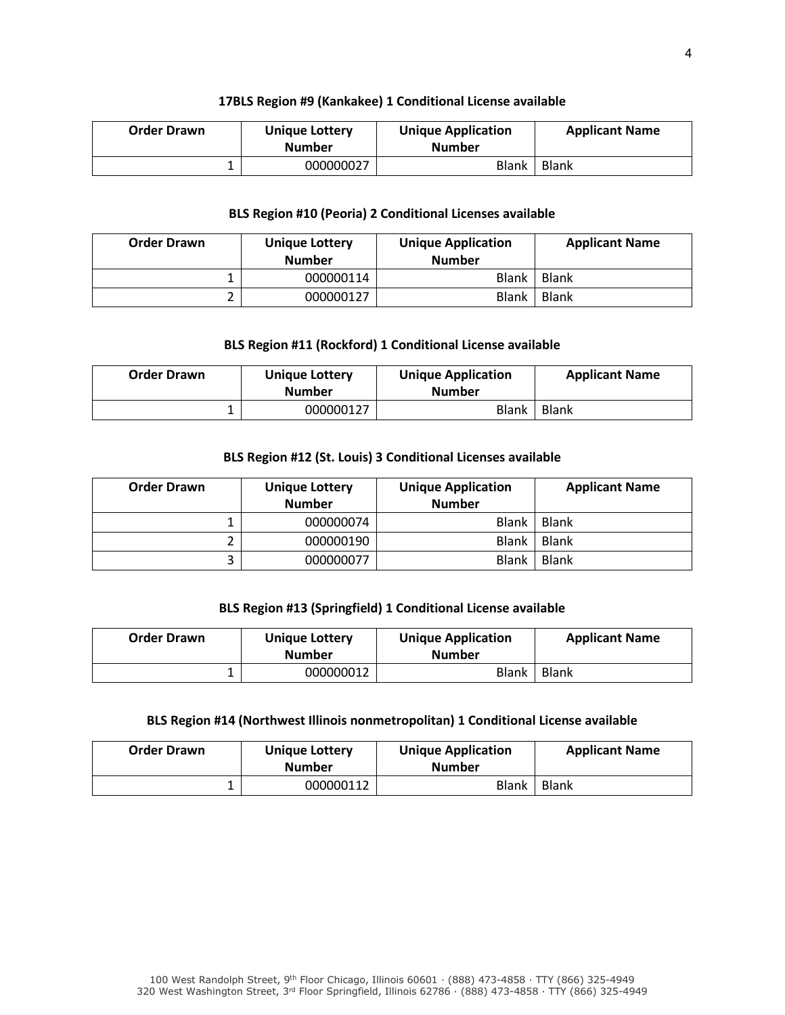#### **17BLS Region #9 (Kankakee) 1 Conditional License available**

| <b>Order Drawn</b> | <b>Unique Lottery</b><br><b>Number</b> | <b>Unique Application</b><br><b>Number</b> | <b>Applicant Name</b> |
|--------------------|----------------------------------------|--------------------------------------------|-----------------------|
|                    | 000000027                              | Blank                                      | <b>Blank</b>          |

## **BLS Region #10 (Peoria) 2 Conditional Licenses available**

| <b>Order Drawn</b> | <b>Unique Lottery</b><br><b>Number</b> | <b>Unique Application</b><br><b>Number</b> | <b>Applicant Name</b> |
|--------------------|----------------------------------------|--------------------------------------------|-----------------------|
|                    | 000000114                              | Blank                                      | Blank                 |
|                    | 000000127                              | <b>Blank</b>                               | Blank                 |

## **BLS Region #11 (Rockford) 1 Conditional License available**

| <b>Order Drawn</b> | <b>Unique Lottery</b><br><b>Number</b> | <b>Unique Application</b><br><b>Number</b> | <b>Applicant Name</b> |
|--------------------|----------------------------------------|--------------------------------------------|-----------------------|
|                    | 000000127                              | Blank                                      | <b>Blank</b>          |

## **BLS Region #12 (St. Louis) 3 Conditional Licenses available**

| <b>Order Drawn</b> | <b>Unique Lottery</b><br><b>Number</b> | <b>Unique Application</b><br><b>Number</b> | <b>Applicant Name</b> |
|--------------------|----------------------------------------|--------------------------------------------|-----------------------|
|                    | 000000074                              | <b>Blank</b>                               | <b>Blank</b>          |
|                    | 000000190                              | <b>Blank</b>                               | <b>Blank</b>          |
|                    | 000000077                              | <b>Blank</b>                               | <b>Blank</b>          |

## **BLS Region #13 (Springfield) 1 Conditional License available**

| <b>Order Drawn</b> | Unique Lottery<br><b>Number</b> | <b>Unique Application</b><br><b>Number</b> | <b>Applicant Name</b> |
|--------------------|---------------------------------|--------------------------------------------|-----------------------|
|                    | 000000012                       | <b>Blank</b>                               | <b>Blank</b>          |

#### **BLS Region #14 (Northwest Illinois nonmetropolitan) 1 Conditional License available**

| <b>Order Drawn</b> | <b>Unique Lottery</b><br><b>Number</b> | <b>Unique Application</b><br><b>Number</b> | <b>Applicant Name</b> |
|--------------------|----------------------------------------|--------------------------------------------|-----------------------|
|                    | 000000112                              | Blank                                      | <b>Blank</b>          |